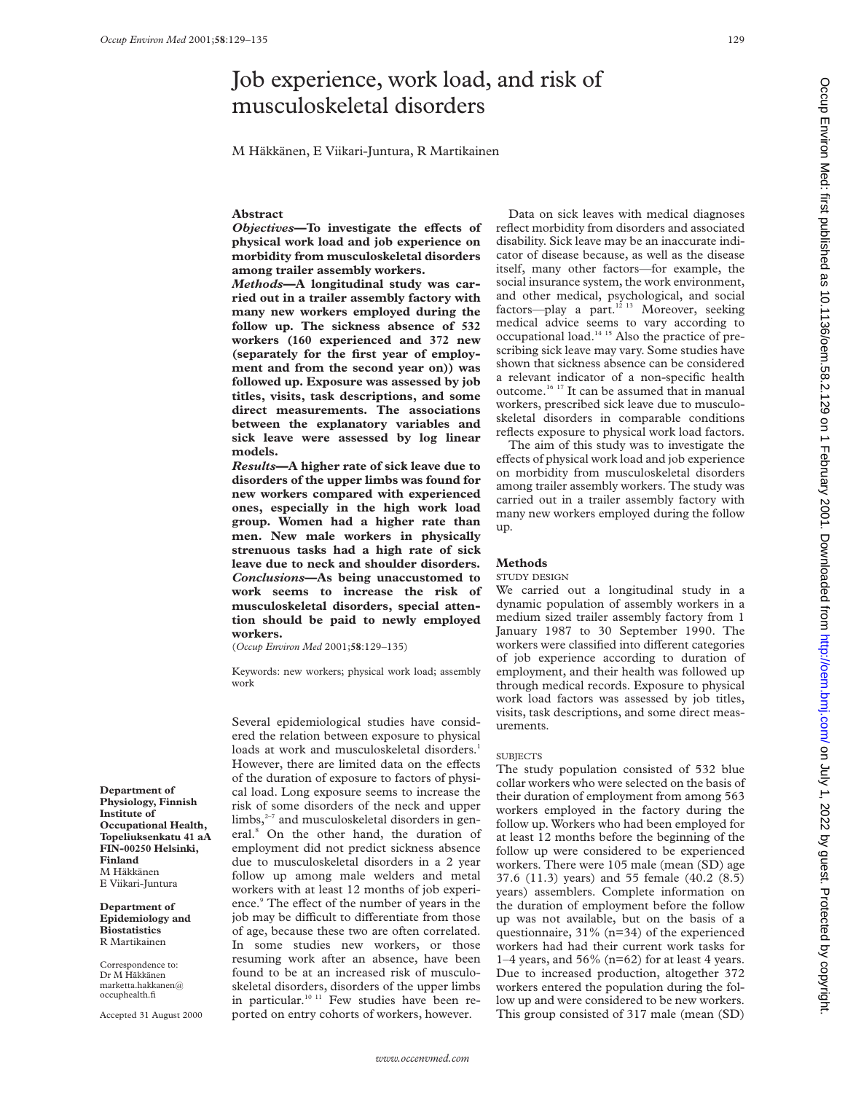# Job experience, work load, and risk of musculoskeletal disorders

M Häkkänen, E Viikari-Juntura, R Martikainen

# **Abstract**

*Objectives***—To investigate the effects of physical work load and job experience on morbidity from musculoskeletal disorders among trailer assembly workers.**

*Methods***—A longitudinal study was carried out in a trailer assembly factory with many new workers employed during the follow up. The sickness absence of 532 workers (160 experienced and 372 new (separately for the first year of employment and from the second year on)) was followed up. Exposure was assessed by job titles, visits, task descriptions, and some direct measurements. The associations between the explanatory variables and sick leave were assessed by log linear models.**

*Results***—A higher rate of sick leave due to disorders of the upper limbs was found for new workers compared with experienced ones, especially in the high work load group. Women had a higher rate than men. New male workers in physically strenuous tasks had a high rate of sick leave due to neck and shoulder disorders.** *Conclusions***—As being unaccustomed to work seems to increase the risk of musculoskeletal disorders, special attention should be paid to newly employed workers.**

(*Occup Environ Med* 2001;**58**:129–135)

Keywords: new workers; physical work load; assembly work

Several epidemiological studies have considered the relation between exposure to physical loads at work and musculoskeletal disorders.<sup>1</sup> However, there are limited data on the effects of the duration of exposure to factors of physical load. Long exposure seems to increase the risk of some disorders of the neck and upper limbs, $2-7$  and musculoskeletal disorders in general.8 On the other hand, the duration of employment did not predict sickness absence due to musculoskeletal disorders in a 2 year follow up among male welders and metal workers with at least 12 months of job experience.<sup>9</sup> The effect of the number of years in the job may be difficult to differentiate from those of age, because these two are often correlated. In some studies new workers, or those resuming work after an absence, have been found to be at an increased risk of musculoskeletal disorders, disorders of the upper limbs in particular.<sup>10 11</sup> Few studies have been reported on entry cohorts of workers, however.

Data on sick leaves with medical diagnoses reflect morbidity from disorders and associated disability. Sick leave may be an inaccurate indicator of disease because, as well as the disease itself, many other factors—for example, the social insurance system, the work environment, and other medical, psychological, and social factors—play a part.<sup>12 13</sup> Moreover, seeking medical advice seems to vary according to occupational load.14 15 Also the practice of prescribing sick leave may vary. Some studies have shown that sickness absence can be considered a relevant indicator of a non-specific health outcome.16 17 It can be assumed that in manual workers, prescribed sick leave due to musculoskeletal disorders in comparable conditions reflects exposure to physical work load factors.

The aim of this study was to investigate the effects of physical work load and job experience on morbidity from musculoskeletal disorders among trailer assembly workers. The study was carried out in a trailer assembly factory with many new workers employed during the follow up.

#### **Methods**

STUDY DESIGN

We carried out a longitudinal study in a dynamic population of assembly workers in a medium sized trailer assembly factory from 1 January 1987 to 30 September 1990. The workers were classified into different categories of job experience according to duration of employment, and their health was followed up through medical records. Exposure to physical work load factors was assessed by job titles, visits, task descriptions, and some direct measurements.

#### **SUBJECTS**

The study population consisted of 532 blue collar workers who were selected on the basis of their duration of employment from among 563 workers employed in the factory during the follow up. Workers who had been employed for at least 12 months before the beginning of the follow up were considered to be experienced workers. There were 105 male (mean (SD) age 37.6 (11.3) years) and 55 female (40.2 (8.5) years) assemblers. Complete information on the duration of employment before the follow up was not available, but on the basis of a questionnaire, 31% (n=34) of the experienced workers had had their current work tasks for 1–4 years, and 56% (n=62) for at least 4 years. Due to increased production, altogether 372 workers entered the population during the follow up and were considered to be new workers. This group consisted of 317 male (mean (SD)

Occup Environ Med: first published as 10.1136/oem.58.2.129 on 1 February 2001. Downloaded from http://oem.bmj.com/ on July 1, 2022 by guest. Protected by copyright On July 1, 2022 by guest. Protected by copyright. Powrand and Herita by 2001. Downloaddy to a Hebruary 2012. Downloaddy to her in February 2012 on 10, 1, 2020 on 10.129.2.0.1136.2.129 on 1 February 2012. Downloaddy to a He

Correspondence to: Dr M Häkkänen marketta.hakkanen@ occuphealth.fi

**Biostatistics** R Martikainen

**Department of Physiology, Finnish Institute of**

**Finland** M Häkkänen

**Occupational Health, Topeliuksenkatu 41 aA FIN-00250 Helsinki,**

Accepted 31 August 2000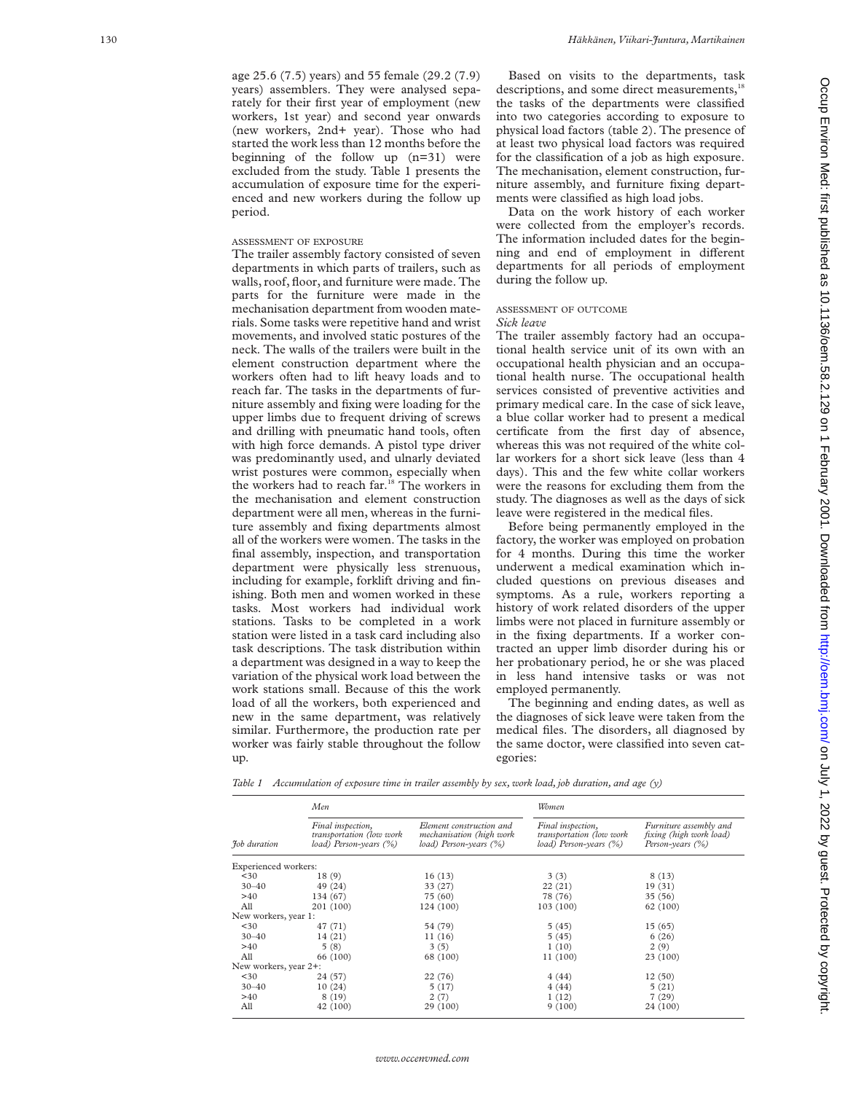age 25.6 (7.5) years) and 55 female (29.2 (7.9) years) assemblers. They were analysed separately for their first year of employment (new workers, 1st year) and second year onwards (new workers, 2nd+ year). Those who had started the work less than 12 months before the beginning of the follow up (n=31) were excluded from the study. Table 1 presents the accumulation of exposure time for the experienced and new workers during the follow up period.

# ASSESSMENT OF EXPOSURE

The trailer assembly factory consisted of seven departments in which parts of trailers, such as walls, roof, floor, and furniture were made. The parts for the furniture were made in the mechanisation department from wooden materials. Some tasks were repetitive hand and wrist movements, and involved static postures of the neck. The walls of the trailers were built in the element construction department where the workers often had to lift heavy loads and to reach far. The tasks in the departments of furniture assembly and fixing were loading for the upper limbs due to frequent driving of screws and drilling with pneumatic hand tools, often with high force demands. A pistol type driver was predominantly used, and ulnarly deviated wrist postures were common, especially when the workers had to reach far.<sup>18</sup> The workers in the mechanisation and element construction department were all men, whereas in the furniture assembly and fixing departments almost all of the workers were women. The tasks in the final assembly, inspection, and transportation department were physically less strenuous, including for example, forklift driving and finishing. Both men and women worked in these tasks. Most workers had individual work stations. Tasks to be completed in a work station were listed in a task card including also task descriptions. The task distribution within a department was designed in a way to keep the variation of the physical work load between the work stations small. Because of this the work load of all the workers, both experienced and new in the same department, was relatively similar. Furthermore, the production rate per worker was fairly stable throughout the follow up.

Based on visits to the departments, task descriptions, and some direct measurements,<sup>18</sup> the tasks of the departments were classified into two categories according to exposure to physical load factors (table 2). The presence of at least two physical load factors was required for the classification of a job as high exposure. The mechanisation, element construction, furniture assembly, and furniture fixing departments were classified as high load jobs.

Data on the work history of each worker were collected from the employer's records. The information included dates for the beginning and end of employment in different departments for all periods of employment during the follow up.

#### ASSESSMENT OF OUTCOME *Sick leave*

The trailer assembly factory had an occupational health service unit of its own with an occupational health physician and an occupational health nurse. The occupational health services consisted of preventive activities and primary medical care. In the case of sick leave, a blue collar worker had to present a medical certificate from the first day of absence, whereas this was not required of the white collar workers for a short sick leave (less than 4 days). This and the few white collar workers were the reasons for excluding them from the study. The diagnoses as well as the days of sick leave were registered in the medical files.

Before being permanently employed in the factory, the worker was employed on probation for 4 months. During this time the worker underwent a medical examination which included questions on previous diseases and symptoms. As a rule, workers reporting a history of work related disorders of the upper limbs were not placed in furniture assembly or in the fixing departments. If a worker contracted an upper limb disorder during his or her probationary period, he or she was placed in less hand intensive tasks or was not employed permanently.

The beginning and ending dates, as well as the diagnoses of sick leave were taken from the medical files. The disorders, all diagnosed by the same doctor, were classified into seven categories:

*Table 1 Accumulation of exposure time in trailer assembly by sex, work load, job duration, and age (y)*

|                       | Men                                                                     |                                                                                | Women                                                                   |                                                                          |  |
|-----------------------|-------------------------------------------------------------------------|--------------------------------------------------------------------------------|-------------------------------------------------------------------------|--------------------------------------------------------------------------|--|
| Fob duration          | Final inspection,<br>transportation (low work<br>load) Person-years (%) | Element construction and<br>mechanisation (high work<br>load) Person-years (%) | Final inspection,<br>transportation (low work<br>load) Person-years (%) | Furniture assembly and<br>fixing (high work load)<br>Person-years $(\%)$ |  |
| Experienced workers:  |                                                                         |                                                                                |                                                                         |                                                                          |  |
| $30$                  | 18(9)                                                                   | 16(13)                                                                         | 3(3)                                                                    | 8(13)                                                                    |  |
| $30 - 40$             | 49 (24)                                                                 | 33 (27)                                                                        | 22(21)                                                                  | 19(31)                                                                   |  |
| >40                   | 134 (67)                                                                | 75 (60)                                                                        | 78 (76)                                                                 | 35(56)                                                                   |  |
| All                   | 201 (100)                                                               | 124 (100)                                                                      | 103(100)                                                                | 62 (100)                                                                 |  |
| New workers, year 1:  |                                                                         |                                                                                |                                                                         |                                                                          |  |
| $30$                  | 47 (71)                                                                 | 54 (79)                                                                        | 5(45)                                                                   | 15(65)                                                                   |  |
| $30 - 40$             | 14(21)                                                                  | 11(16)                                                                         | 5(45)                                                                   | 6(26)                                                                    |  |
| >40                   | 5(8)                                                                    | 3(5)                                                                           | 1(10)                                                                   | 2(9)                                                                     |  |
| All                   | 66 (100)                                                                | 68 (100)                                                                       | 11(100)                                                                 | 23(100)                                                                  |  |
| New workers, year 2+: |                                                                         |                                                                                |                                                                         |                                                                          |  |
| $30$                  | 24 (57)                                                                 | 22 (76)                                                                        | 4(44)                                                                   | 12(50)                                                                   |  |
| $30 - 40$             | 10(24)                                                                  | 5(17)                                                                          | 4(44)                                                                   | 5(21)                                                                    |  |
| >40                   | 8(19)                                                                   | 2(7)                                                                           | 1(12)                                                                   | 7(29)                                                                    |  |
| All                   | 42 (100)                                                                | 29 (100)                                                                       | 9(100)                                                                  | 24 (100)                                                                 |  |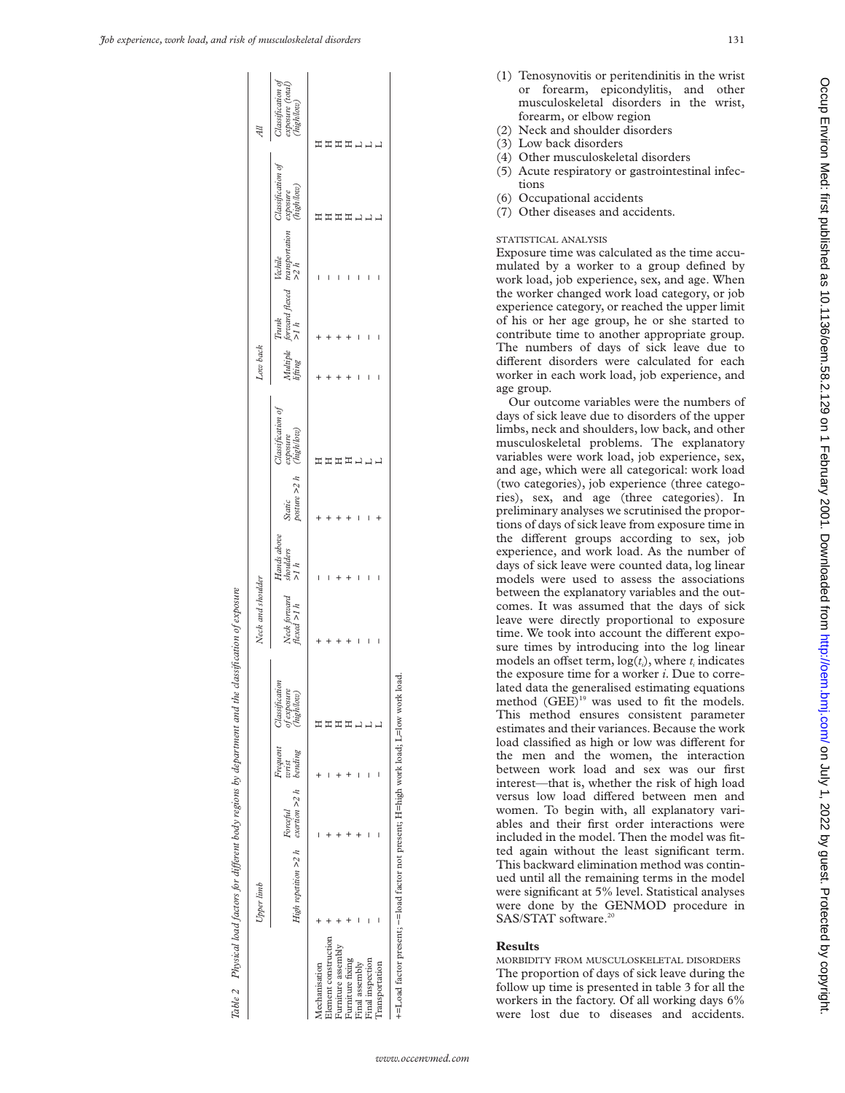|                     | Upper limb                                     |          |                   |                                            | Neck and shoulder           |  |                                                                        | $Low$ $back$          |                                                                                                                                        |                                   |                                             |                                                     |
|---------------------|------------------------------------------------|----------|-------------------|--------------------------------------------|-----------------------------|--|------------------------------------------------------------------------|-----------------------|----------------------------------------------------------------------------------------------------------------------------------------|-----------------------------------|---------------------------------------------|-----------------------------------------------------|
|                     | High repetition $>2 h$ exertion $>2 h$ bending | Forceful | Frequent<br>vrrst | Classification<br>of exposure<br>(highlow) | Neck forward<br>flexed >1 h |  | Classification of<br>Static > 2 h (highlow)<br>posture > 2 h (highlow) | Multiple .<br>lifting | $\begin{array}{ll} {\rm \bf{Trunk}} & {\rm \bf{I}} \\ {\rm \bf \it forward\,flexed} & {\rm \it n} \\ >1 \hskip.03cm h & > \end{array}$ | Vechile<br>transportation<br>>2 h | Classification of<br>exposure<br>(highllow) | Ilassification of<br>exposure (total)<br>(highllow) |
| Mechanisation       |                                                |          |                   |                                            |                             |  |                                                                        |                       |                                                                                                                                        |                                   |                                             |                                                     |
| lement construction |                                                |          |                   |                                            |                             |  |                                                                        |                       |                                                                                                                                        |                                   |                                             |                                                     |
| Furniture assembly  |                                                |          |                   |                                            |                             |  |                                                                        |                       |                                                                                                                                        |                                   |                                             |                                                     |
| Furniture fixing    |                                                |          |                   |                                            |                             |  |                                                                        |                       |                                                                                                                                        |                                   |                                             |                                                     |
| Final assembly      |                                                |          |                   |                                            |                             |  |                                                                        |                       |                                                                                                                                        |                                   |                                             |                                                     |
| Final inspection    |                                                |          |                   |                                            |                             |  |                                                                        |                       |                                                                                                                                        |                                   |                                             |                                                     |
| Transportation      |                                                |          |                   |                                            |                             |  |                                                                        |                       |                                                                                                                                        |                                   |                                             |                                                     |

- (3) Low back disorders
- (4) Other musculoskeletal disorders
- (5) Acute respiratory or gastrointestinal infections
- (6) Occupational accidents
- (7) Other diseases and accidents.

### STATISTICAL ANALYSIS

Exposure time was calculated as the time accumulated by a worker to a group defined by work load, job experience, sex, and age. When the worker changed work load category, or job experience category, or reached the upper limit of his or her age group, he or she started to contribute time to another appropriate group. The numbers of days of sick leave due to different disorders were calculated for each worker in each work load, job experience, and age group.

Our outcome variables were the numbers of days of sick leave due to disorders of the upper limbs, neck and shoulders, low back, and other musculoskeletal problems. The explanatory variables were work load, job experience, sex, and age, which were all categorical: work load (two categories), job experience (three categories), sex, and age (three categories). In preliminary analyses we scrutinised the proportions of days of sick leave from exposure time in the different groups according to sex, job experience, and work load. As the number of days of sick leave were counted data, log linear models were used to assess the associations between the explanatory variables and the outcomes. It was assumed that the days of sick leave were directly proportional to exposure time. We took into account the different exposure times by introducing into the log linear models an offset term,  $\log(t_i)$ , where  $t_i$  indicates the exposure time for a worker *i*. Due to correlated data the generalised estimating equations method (GEE)<sup>19</sup> was used to fit the models. This method ensures consistent parameter estimates and their variances. Because the work load classified as high or low was different for the men and the women, the interaction between work load and sex was our first interest—that is, whether the risk of high load versus low load differed between men and women. To begin with, all explanatory variables and their first order interactions were included in the model. Then the model was fitted again without the least significant term. This backward elimination method was continued until all the remaining terms in the model were significant at 5% level. Statistical analyses were done by the GENMOD procedure in SAS/STAT software.<sup>20</sup>

# **Results**

MORBIDITY FROM MUSCULOSKELETAL DISORDERS The proportion of days of sick leave during the follow up time is presented in table 3 for all the workers in the factory. Of all working days 6% were lost due to diseases and accidents.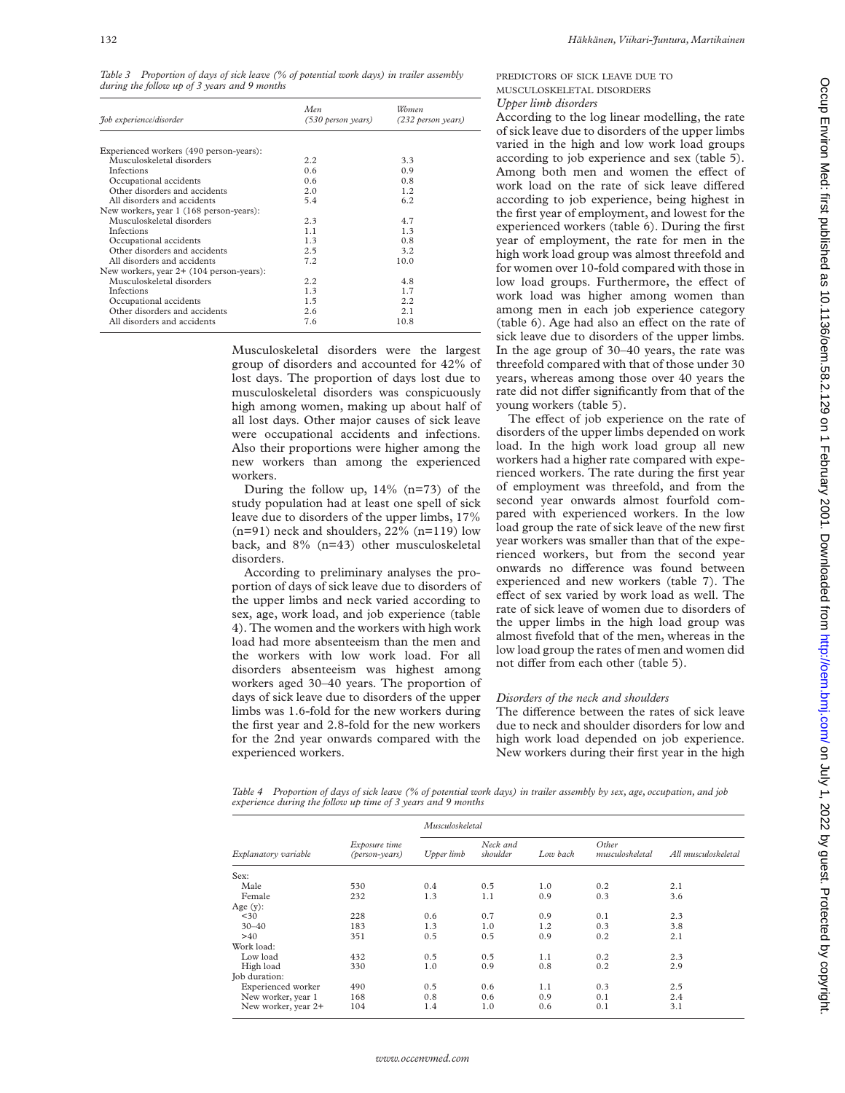*Table 3 Proportion of days of sick leave (% of potential work days) in trailer assembly during the follow up of 3 years and 9 months*

| fob experience/disorder                    | Men<br>(530 person years) | Women<br>(232 person years) |
|--------------------------------------------|---------------------------|-----------------------------|
|                                            |                           |                             |
| Experienced workers (490 person-years):    |                           |                             |
| Musculoskeletal disorders                  | 2.2                       | 3.3                         |
| Infections                                 | 0.6                       | 0.9                         |
| Occupational accidents                     | 0.6                       | 0.8                         |
| Other disorders and accidents              | 2.0                       | 1.2                         |
| All disorders and accidents                | 5.4                       | 6.2                         |
| New workers, year 1 (168 person-years):    |                           |                             |
| Musculoskeletal disorders                  | 2.3                       | 4.7                         |
| Infections                                 | 1.1                       | 1.3                         |
| Occupational accidents                     | 1.3                       | 0.8                         |
| Other disorders and accidents              | 2.5                       | 3.2                         |
| All disorders and accidents                | 7.2                       | 10.0                        |
| New workers, year $2+$ (104 person-years): |                           |                             |
| Musculoskeletal disorders                  | 2.2                       | 4.8                         |
| Infections                                 | 1.3                       | 1.7                         |
| Occupational accidents                     | 1.5                       | 2.2                         |
| Other disorders and accidents              | 2.6                       | 2.1                         |
| All disorders and accidents                | 7.6                       | 10.8                        |

Musculoskeletal disorders were the largest group of disorders and accounted for 42% of lost days. The proportion of days lost due to musculoskeletal disorders was conspicuously high among women, making up about half of all lost days. Other major causes of sick leave were occupational accidents and infections. Also their proportions were higher among the new workers than among the experienced workers.

During the follow up, 14% (n=73) of the study population had at least one spell of sick leave due to disorders of the upper limbs, 17% (n=91) neck and shoulders, 22% (n=119) low back, and 8% (n=43) other musculoskeletal disorders.

According to preliminary analyses the proportion of days of sick leave due to disorders of the upper limbs and neck varied according to sex, age, work load, and job experience (table 4). The women and the workers with high work load had more absenteeism than the men and the workers with low work load. For all disorders absenteeism was highest among workers aged 30–40 years. The proportion of days of sick leave due to disorders of the upper limbs was 1.6-fold for the new workers during the first year and 2.8-fold for the new workers for the 2nd year onwards compared with the experienced workers.

*Upper limb disorders* According to the log linear modelling, the rate of sick leave due to disorders of the upper limbs varied in the high and low work load groups according to job experience and sex (table 5). Among both men and women the effect of work load on the rate of sick leave differed according to job experience, being highest in the first year of employment, and lowest for the experienced workers (table 6). During the first year of employment, the rate for men in the high work load group was almost threefold and for women over 10-fold compared with those in low load groups. Furthermore, the effect of work load was higher among women than among men in each job experience category  $(table 6)$ . Age had also an effect on the rate of sick leave due to disorders of the upper limbs. In the age group of 30–40 years, the rate was threefold compared with that of those under 30 years, whereas among those over 40 years the rate did not differ significantly from that of the young workers (table 5).

PREDICTORS OF SICK LEAVE DUE TO MUSCULOSKELETAL DISORDERS

The effect of job experience on the rate of disorders of the upper limbs depended on work load. In the high work load group all new workers had a higher rate compared with experienced workers. The rate during the first year of employment was threefold, and from the second year onwards almost fourfold compared with experienced workers. In the low load group the rate of sick leave of the new first year workers was smaller than that of the experienced workers, but from the second year onwards no difference was found between experienced and new workers (table 7). The effect of sex varied by work load as well. The rate of sick leave of women due to disorders of the upper limbs in the high load group was almost fivefold that of the men, whereas in the low load group the rates of men and women did not differ from each other (table 5).

## *Disorders of the neck and shoulders*

The difference between the rates of sick leave due to neck and shoulder disorders for low and high work load depended on job experience. New workers during their first year in the high

*Table 4 Proportion of days of sick leave (% of potential work days) in trailer assembly by sex, age, occupation, and job experience during the follow up time of 3 years and 9 months*

|                      |                                 | Musculoskeletal |                      |          |                          |                     |  |
|----------------------|---------------------------------|-----------------|----------------------|----------|--------------------------|---------------------|--|
| Explanatory variable | Exposure time<br>(person-years) | Upper limb      | Neck and<br>shoulder | Low back | Other<br>musculoskeletal | All musculoskeletal |  |
| Sex:                 |                                 |                 |                      |          |                          |                     |  |
| Male                 | 530                             | 0.4             | 0.5                  | 1.0      | 0.2                      | 2.1                 |  |
| Female               | 232                             | 1.3             | 1.1                  | 0.9      | 0.3                      | 3.6                 |  |
| Age $(y)$ :          |                                 |                 |                      |          |                          |                     |  |
| $30$                 | 228                             | 0.6             | 0.7                  | 0.9      | 0.1                      | 2.3                 |  |
| $30 - 40$            | 183                             | 1.3             | 1.0                  | 1.2      | 0.3                      | 3.8                 |  |
| >40                  | 351                             | 0.5             | 0.5                  | 0.9      | 0.2                      | 2.1                 |  |
| Work load:           |                                 |                 |                      |          |                          |                     |  |
| Low load             | 432                             | 0.5             | 0.5                  | 1.1      | 0.2                      | 2.3                 |  |
| High load            | 330                             | 1.0             | 0.9                  | 0.8      | 0.2                      | 2.9                 |  |
| Job duration:        |                                 |                 |                      |          |                          |                     |  |
| Experienced worker   | 490                             | 0.5             | 0.6                  | 1.1      | 0.3                      | 2.5                 |  |
| New worker, year 1   | 168                             | 0.8             | 0.6                  | 0.9      | 0.1                      | 2.4                 |  |
| New worker, year 2+  | 104                             | 1.4             | 1.0                  | 0.6      | 0.1                      | 3.1                 |  |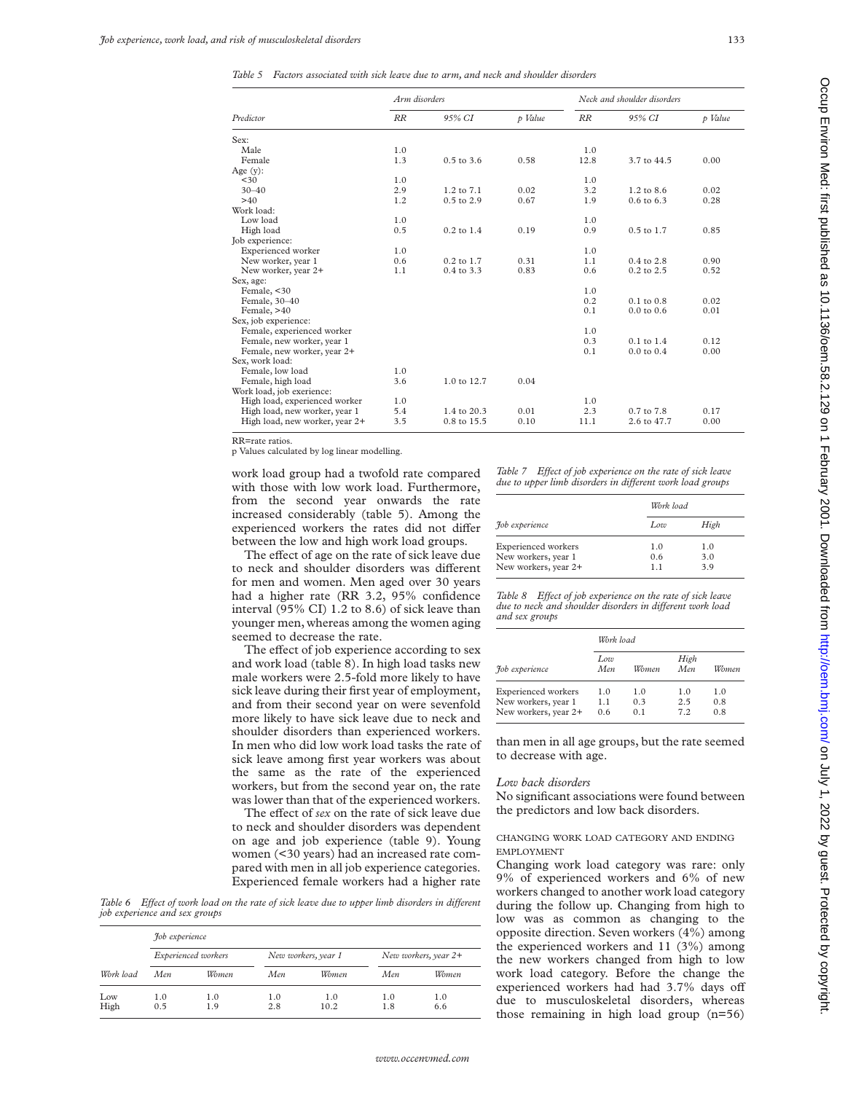*Table 5 Factors associated with sick leave due to arm, and neck and shoulder disorders*

| Predictor                      | Arm disorders<br>Neck and shoulder disorders<br>RR<br>$_{RR}$<br>95% CI<br>p Value<br>95% CI<br>1.0<br>1.0<br>1.3<br>0.58<br>12.8<br>$0.5 \text{ to } 3.6$<br>3.7 to 44.5<br>1.0<br>1.0<br>2.9<br>$1.2 \text{ to } 7.1$<br>0.02<br>3.2<br>1.2 to 8.6<br>$0.5 \text{ to } 2.9$<br>1.2<br>0.67<br>1.9<br>$0.6 \text{ to } 6.3$<br>1.0<br>1.0<br>0.5<br>$0.5$ to $1.7$<br>$0.2 \text{ to } 1.4$<br>0.19<br>0.9<br>1.0<br>1.0<br>0.31<br>0.6<br>$0.2 \text{ to } 1.7$<br>1.1<br>$0.4 \text{ to } 2.8$<br>0.4 to 3.3<br>0.83<br>0.6<br>0.2 to 2.5<br>1.1<br>1.0<br>0.2<br>$0.1 \text{ to } 0.8$<br>0.1<br>$0.0$ to $0.6$<br>1.0<br>$0.1$ to $1.4$<br>0.3<br>0.1<br>$0.0 \text{ to } 0.4$<br>1.0<br>3.6<br>1.0 to 12.7<br>0.04<br>1.0<br>1.0<br>2.3<br>$0.7$ to $7.8$<br>5.4<br>1.4 to 20.3<br>0.01<br>3.5<br>0.8 to 15.5<br>2.6 to 47.7<br>0.10<br>11.1 | p Value |  |      |
|--------------------------------|----------------------------------------------------------------------------------------------------------------------------------------------------------------------------------------------------------------------------------------------------------------------------------------------------------------------------------------------------------------------------------------------------------------------------------------------------------------------------------------------------------------------------------------------------------------------------------------------------------------------------------------------------------------------------------------------------------------------------------------------------------------------------------------------------------------------------------------------------|---------|--|------|
| Sex:                           |                                                                                                                                                                                                                                                                                                                                                                                                                                                                                                                                                                                                                                                                                                                                                                                                                                                    |         |  |      |
| Male                           |                                                                                                                                                                                                                                                                                                                                                                                                                                                                                                                                                                                                                                                                                                                                                                                                                                                    |         |  |      |
| Female                         |                                                                                                                                                                                                                                                                                                                                                                                                                                                                                                                                                                                                                                                                                                                                                                                                                                                    |         |  | 0.00 |
| Age $(y)$ :                    |                                                                                                                                                                                                                                                                                                                                                                                                                                                                                                                                                                                                                                                                                                                                                                                                                                                    |         |  |      |
| < 30                           |                                                                                                                                                                                                                                                                                                                                                                                                                                                                                                                                                                                                                                                                                                                                                                                                                                                    |         |  |      |
| $30 - 40$                      |                                                                                                                                                                                                                                                                                                                                                                                                                                                                                                                                                                                                                                                                                                                                                                                                                                                    |         |  | 0.02 |
| >40                            |                                                                                                                                                                                                                                                                                                                                                                                                                                                                                                                                                                                                                                                                                                                                                                                                                                                    |         |  | 0.28 |
| Work load:                     |                                                                                                                                                                                                                                                                                                                                                                                                                                                                                                                                                                                                                                                                                                                                                                                                                                                    |         |  |      |
| Low load                       |                                                                                                                                                                                                                                                                                                                                                                                                                                                                                                                                                                                                                                                                                                                                                                                                                                                    |         |  |      |
| High load                      |                                                                                                                                                                                                                                                                                                                                                                                                                                                                                                                                                                                                                                                                                                                                                                                                                                                    |         |  | 0.85 |
| Job experience:                |                                                                                                                                                                                                                                                                                                                                                                                                                                                                                                                                                                                                                                                                                                                                                                                                                                                    |         |  |      |
| Experienced worker             |                                                                                                                                                                                                                                                                                                                                                                                                                                                                                                                                                                                                                                                                                                                                                                                                                                                    |         |  |      |
| New worker, year 1             |                                                                                                                                                                                                                                                                                                                                                                                                                                                                                                                                                                                                                                                                                                                                                                                                                                                    |         |  | 0.90 |
| New worker, year 2+            |                                                                                                                                                                                                                                                                                                                                                                                                                                                                                                                                                                                                                                                                                                                                                                                                                                                    |         |  | 0.52 |
| Sex, age:                      |                                                                                                                                                                                                                                                                                                                                                                                                                                                                                                                                                                                                                                                                                                                                                                                                                                                    |         |  |      |
| Female, <30                    |                                                                                                                                                                                                                                                                                                                                                                                                                                                                                                                                                                                                                                                                                                                                                                                                                                                    |         |  |      |
| Female, 30-40                  |                                                                                                                                                                                                                                                                                                                                                                                                                                                                                                                                                                                                                                                                                                                                                                                                                                                    |         |  | 0.02 |
| Female, >40                    |                                                                                                                                                                                                                                                                                                                                                                                                                                                                                                                                                                                                                                                                                                                                                                                                                                                    |         |  | 0.01 |
| Sex, job experience:           |                                                                                                                                                                                                                                                                                                                                                                                                                                                                                                                                                                                                                                                                                                                                                                                                                                                    |         |  |      |
| Female, experienced worker     |                                                                                                                                                                                                                                                                                                                                                                                                                                                                                                                                                                                                                                                                                                                                                                                                                                                    |         |  |      |
| Female, new worker, year 1     |                                                                                                                                                                                                                                                                                                                                                                                                                                                                                                                                                                                                                                                                                                                                                                                                                                                    |         |  | 0.12 |
| Female, new worker, year 2+    |                                                                                                                                                                                                                                                                                                                                                                                                                                                                                                                                                                                                                                                                                                                                                                                                                                                    |         |  | 0.00 |
| Sex, work load:                |                                                                                                                                                                                                                                                                                                                                                                                                                                                                                                                                                                                                                                                                                                                                                                                                                                                    |         |  |      |
| Female, low load               |                                                                                                                                                                                                                                                                                                                                                                                                                                                                                                                                                                                                                                                                                                                                                                                                                                                    |         |  |      |
| Female, high load              |                                                                                                                                                                                                                                                                                                                                                                                                                                                                                                                                                                                                                                                                                                                                                                                                                                                    |         |  |      |
| Work load, job exerience:      |                                                                                                                                                                                                                                                                                                                                                                                                                                                                                                                                                                                                                                                                                                                                                                                                                                                    |         |  |      |
| High load, experienced worker  |                                                                                                                                                                                                                                                                                                                                                                                                                                                                                                                                                                                                                                                                                                                                                                                                                                                    |         |  |      |
| High load, new worker, year 1  |                                                                                                                                                                                                                                                                                                                                                                                                                                                                                                                                                                                                                                                                                                                                                                                                                                                    |         |  | 0.17 |
| High load, new worker, year 2+ |                                                                                                                                                                                                                                                                                                                                                                                                                                                                                                                                                                                                                                                                                                                                                                                                                                                    |         |  | 0.00 |

RR=rate ratios.

p Values calculated by log linear modelling.

work load group had a twofold rate compared with those with low work load. Furthermore, from the second year onwards the rate increased considerably (table 5). Among the experienced workers the rates did not differ between the low and high work load groups.

The effect of age on the rate of sick leave due to neck and shoulder disorders was different for men and women. Men aged over 30 years had a higher rate (RR 3.2, 95% confidence interval (95% CI) 1.2 to 8.6) of sick leave than younger men, whereas among the women aging seemed to decrease the rate.

The effect of job experience according to sex and work load (table 8). In high load tasks new male workers were 2.5-fold more likely to have sick leave during their first year of employment, and from their second year on were sevenfold more likely to have sick leave due to neck and shoulder disorders than experienced workers. In men who did low work load tasks the rate of sick leave among first year workers was about the same as the rate of the experienced workers, but from the second year on, the rate was lower than that of the experienced workers.

The effect of *sex* on the rate of sick leave due to neck and shoulder disorders was dependent on age and job experience (table 9). Young women (<30 years) had an increased rate compared with men in all job experience categories. Experienced female workers had a higher rate

*Table 6* Effect of work load on the rate of sick leave due to upper limb disorders in different *job experience and sex groups*

|           | Fob experience |                     |                     |       |     |                      |
|-----------|----------------|---------------------|---------------------|-------|-----|----------------------|
| Work load |                | Experienced workers | New workers, year 1 |       |     | New workers, year 2+ |
|           | Men            | Women               | Men.                | Women | Men | Women                |
| Low       | 1.0            | 1.0                 | 1.0                 | 1.0   | 1.0 | 1.0                  |
| High      | 0.5            | 1.9                 | 2.8                 | 10.2  | 1.8 | 6.6                  |

Table 7 Effect of job experience on the rate of sick leave *due to upper limb disorders in different work load groups* 

|                            | Work load |      |
|----------------------------|-----------|------|
| <i>fob experience</i>      | Low       | High |
| <b>Experienced</b> workers | 1.0       | 1.0  |
| New workers, year 1        | 0.6       | 3.0  |
| New workers, year 2+       | 11        | 39   |

*Table 8 Effect of job experience on the rate of sick leave due to neck and shoulder disorders in different work load and sex groups*

|                            | Work load         |       |             |       |
|----------------------------|-------------------|-------|-------------|-------|
| <i>fob experience</i>      | Low<br><b>Men</b> | Women | High<br>Men | Women |
| <b>Experienced</b> workers | 1.0               | 1.0   | 1.0         | 1.0   |
| New workers, year 1        | 1.1               | 0.3   | 2.5         | 0.8   |
| New workers, year 2+       | 0.6               | 0.1   | 72          | 0.8   |

than men in all age groups, but the rate seemed to decrease with age.

## *Low back disorders*

No significant associations were found between the predictors and low back disorders.

#### CHANGING WORK LOAD CATEGORY AND ENDING EMPLOYMENT

Changing work load category was rare: only 9% of experienced workers and 6% of new workers changed to another work load category during the follow up. Changing from high to low was as common as changing to the opposite direction. Seven workers (4%) among the experienced workers and 11 (3%) among the new workers changed from high to low work load category. Before the change the experienced workers had had 3.7% days off due to musculoskeletal disorders, whereas those remaining in high load group (n=56)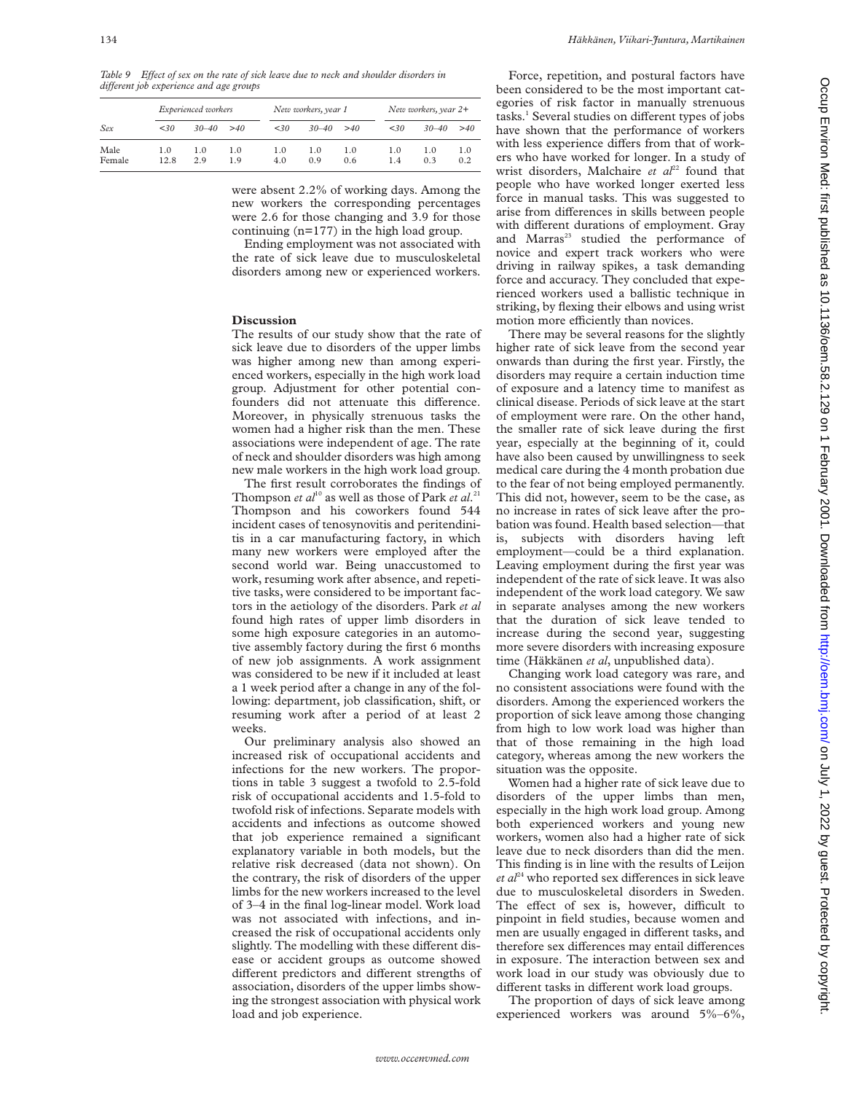Table 9 Effect of sex on the rate of sick leave due to neck and shoulder disorders in *diVerent job experience and age groups*

|                |             | Experienced workers |           |            | New workers, year 1 |            |           | New workers, year 2+ |            |  |
|----------------|-------------|---------------------|-----------|------------|---------------------|------------|-----------|----------------------|------------|--|
| Sex            | <30         | $30 - 40$           | >40       | <30        | $30 - 40$           | >40        | <30       | $30 - 40$            | >40        |  |
| Male<br>Female | 1.0<br>12.8 | 1.0<br>2.9          | 1.0<br>19 | 1.0<br>4.0 | 1.0<br>0.9          | 1.0<br>0.6 | 1.0<br>14 | 1.0<br>03            | 1.0<br>0.2 |  |

were absent 2.2% of working days. Among the new workers the corresponding percentages were 2.6 for those changing and 3.9 for those continuing (n=177) in the high load group.

Ending employment was not associated with the rate of sick leave due to musculoskeletal disorders among new or experienced workers.

# **Discussion**

The results of our study show that the rate of sick leave due to disorders of the upper limbs was higher among new than among experienced workers, especially in the high work load group. Adjustment for other potential confounders did not attenuate this difference. Moreover, in physically strenuous tasks the women had a higher risk than the men. These associations were independent of age. The rate of neck and shoulder disorders was high among new male workers in the high work load group.

The first result corroborates the findings of Thompson *et al*<sup>10</sup> as well as those of Park *et al*.<sup>21</sup> Thompson and his coworkers found 544 incident cases of tenosynovitis and peritendinitis in a car manufacturing factory, in which many new workers were employed after the second world war. Being unaccustomed to work, resuming work after absence, and repetitive tasks, were considered to be important factors in the aetiology of the disorders. Park *et al* found high rates of upper limb disorders in some high exposure categories in an automotive assembly factory during the first 6 months of new job assignments. A work assignment was considered to be new if it included at least a 1 week period after a change in any of the following: department, job classification, shift, or resuming work after a period of at least 2 weeks.

Our preliminary analysis also showed an increased risk of occupational accidents and infections for the new workers. The proportions in table 3 suggest a twofold to 2.5-fold risk of occupational accidents and 1.5-fold to twofold risk of infections. Separate models with accidents and infections as outcome showed that job experience remained a significant explanatory variable in both models, but the relative risk decreased (data not shown). On the contrary, the risk of disorders of the upper limbs for the new workers increased to the level of 3–4 in the final log-linear model. Work load was not associated with infections, and increased the risk of occupational accidents only slightly. The modelling with these different disease or accident groups as outcome showed different predictors and different strengths of association, disorders of the upper limbs showing the strongest association with physical work load and job experience.

Force, repetition, and postural factors have been considered to be the most important categories of risk factor in manually strenuous tasks.<sup>1</sup> Several studies on different types of jobs have shown that the performance of workers with less experience differs from that of workers who have worked for longer. In a study of wrist disorders, Malchaire *et al*<sup>22</sup> found that people who have worked longer exerted less force in manual tasks. This was suggested to arise from differences in skills between people with different durations of employment. Gray and Marras<sup>23</sup> studied the performance of novice and expert track workers who were driving in railway spikes, a task demanding force and accuracy. They concluded that experienced workers used a ballistic technique in striking, by flexing their elbows and using wrist motion more efficiently than novices.

There may be several reasons for the slightly higher rate of sick leave from the second year onwards than during the first year. Firstly, the disorders may require a certain induction time of exposure and a latency time to manifest as clinical disease. Periods of sick leave at the start of employment were rare. On the other hand, the smaller rate of sick leave during the first year, especially at the beginning of it, could have also been caused by unwillingness to seek medical care during the 4 month probation due to the fear of not being employed permanently. This did not, however, seem to be the case, as no increase in rates of sick leave after the probation was found. Health based selection—that is, subjects with disorders having left employment—could be a third explanation. Leaving employment during the first year was independent of the rate of sick leave. It was also independent of the work load category. We saw in separate analyses among the new workers that the duration of sick leave tended to increase during the second year, suggesting more severe disorders with increasing exposure time (Häkkänen *et al*, unpublished data).

Changing work load category was rare, and no consistent associations were found with the disorders. Among the experienced workers the proportion of sick leave among those changing from high to low work load was higher than that of those remaining in the high load category, whereas among the new workers the situation was the opposite.

Women had a higher rate of sick leave due to disorders of the upper limbs than men, especially in the high work load group. Among both experienced workers and young new workers, women also had a higher rate of sick leave due to neck disorders than did the men. This finding is in line with the results of Leijon  $et \t a l<sup>24</sup>$  who reported sex differences in sick leave due to musculoskeletal disorders in Sweden. The effect of sex is, however, difficult to pinpoint in field studies, because women and men are usually engaged in different tasks, and therefore sex differences may entail differences in exposure. The interaction between sex and work load in our study was obviously due to different tasks in different work load groups.

The proportion of days of sick leave among experienced workers was around 5%–6%,